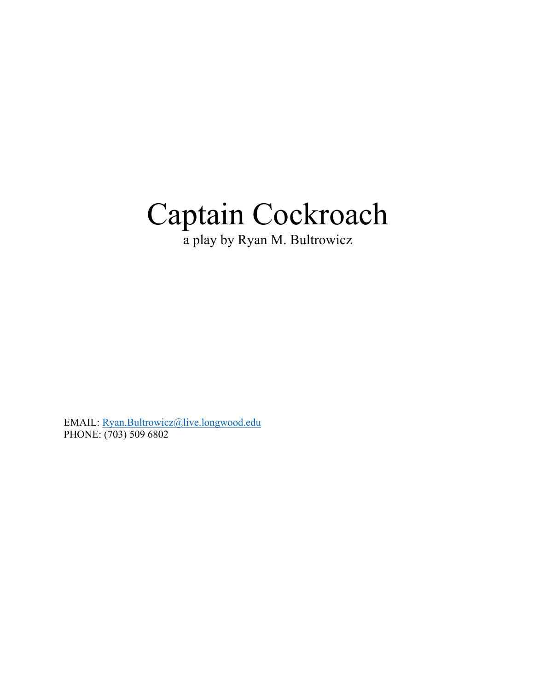# Captain Cockroach

a play by Ryan M. Bultrowicz

EMAIL: Ryan.Bultrowicz@live.longwood.edu PHONE: (703) 509 6802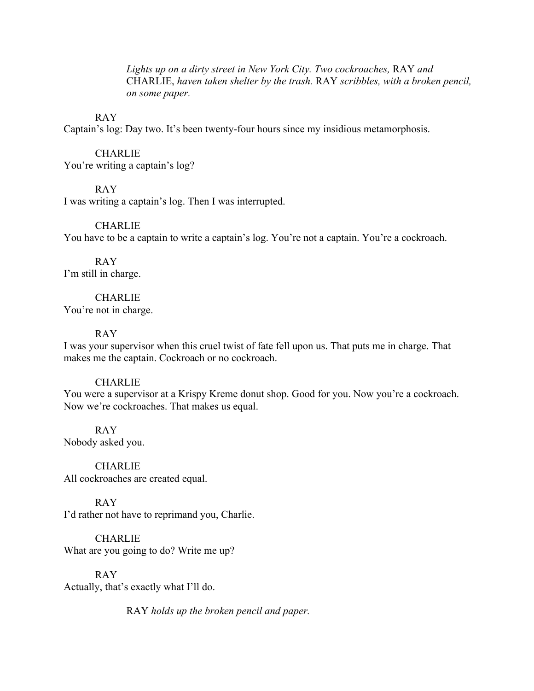*Lights up on a dirty street in New York City. Two cockroaches,* RAY *and*  CHARLIE, *haven taken shelter by the trash.* RAY *scribbles, with a broken pencil, on some paper.*

#### RAY

Captain's log: Day two. It's been twenty-four hours since my insidious metamorphosis.

#### CHARLIE

You're writing a captain's log?

#### RAY

I was writing a captain's log. Then I was interrupted.

#### **CHARLIE**

You have to be a captain to write a captain's log. You're not a captain. You're a cockroach.

#### RAY I'm still in charge.

#### **CHARLIE**

You're not in charge.

#### RAY

I was your supervisor when this cruel twist of fate fell upon us. That puts me in charge. That makes me the captain. Cockroach or no cockroach.

#### **CHARLIE**

You were a supervisor at a Krispy Kreme donut shop. Good for you. Now you're a cockroach. Now we're cockroaches. That makes us equal.

RAY Nobody asked you.

**CHARLIE** All cockroaches are created equal.

#### RAY

I'd rather not have to reprimand you, Charlie.

**CHARLIE** What are you going to do? Write me up?

RAY Actually, that's exactly what I'll do.

RAY *holds up the broken pencil and paper.*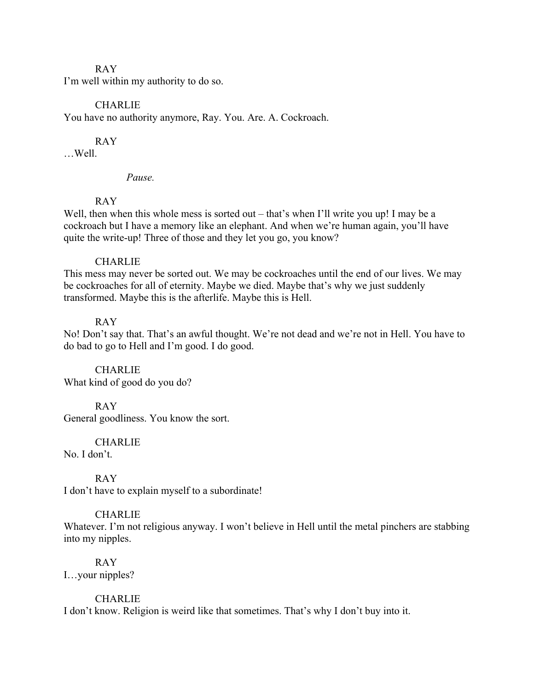#### RAY

I'm well within my authority to do so.

#### CHARLIE

You have no authority anymore, Ray. You. Are. A. Cockroach.

#### RAY

…Well.

#### *Pause.*

#### RAY

Well, then when this whole mess is sorted out – that's when I'll write you up! I may be a cockroach but I have a memory like an elephant. And when we're human again, you'll have quite the write-up! Three of those and they let you go, you know?

#### **CHARLIE**

This mess may never be sorted out. We may be cockroaches until the end of our lives. We may be cockroaches for all of eternity. Maybe we died. Maybe that's why we just suddenly transformed. Maybe this is the afterlife. Maybe this is Hell.

#### RAY

No! Don't say that. That's an awful thought. We're not dead and we're not in Hell. You have to do bad to go to Hell and I'm good. I do good.

CHARLIE What kind of good do you do?

#### RAY

General goodliness. You know the sort.

#### **CHARLIE**

No. I don't.

#### RAY

I don't have to explain myself to a subordinate!

#### **CHARLIE**

Whatever. I'm not religious anyway. I won't believe in Hell until the metal pinchers are stabbing into my nipples.

## RAY

I…your nipples?

#### **CHARLIE**

I don't know. Religion is weird like that sometimes. That's why I don't buy into it.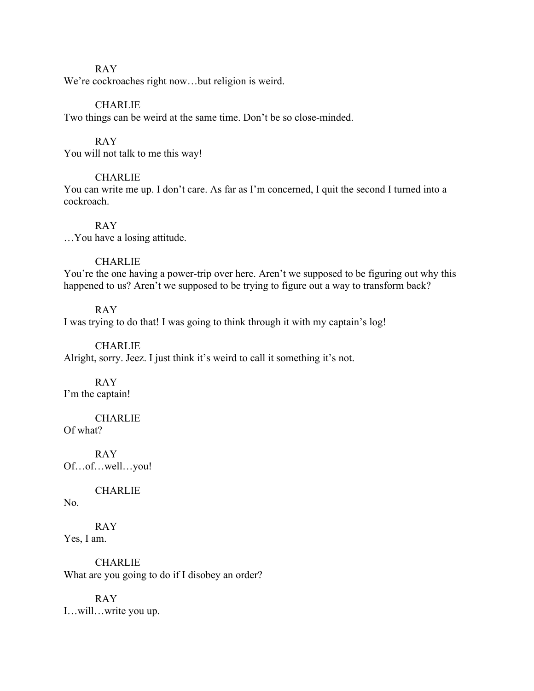#### RAY

We're cockroaches right now...but religion is weird.

#### CHARLIE

Two things can be weird at the same time. Don't be so close-minded.

#### RAY

You will not talk to me this way!

#### **CHARLIE**

You can write me up. I don't care. As far as I'm concerned, I quit the second I turned into a cockroach.

RAY

…You have a losing attitude.

#### **CHARLIE**

You're the one having a power-trip over here. Aren't we supposed to be figuring out why this happened to us? Aren't we supposed to be trying to figure out a way to transform back?

#### RAY

I was trying to do that! I was going to think through it with my captain's log!

#### **CHARLIE**

Alright, sorry. Jeez. I just think it's weird to call it something it's not.

RAY I'm the captain!

**CHARLIE** Of what?

RAY Of…of…well…you!

**CHARLIE** 

No.

RAY Yes, I am.

**CHARLIE** What are you going to do if I disobey an order?

RAY I…will…write you up.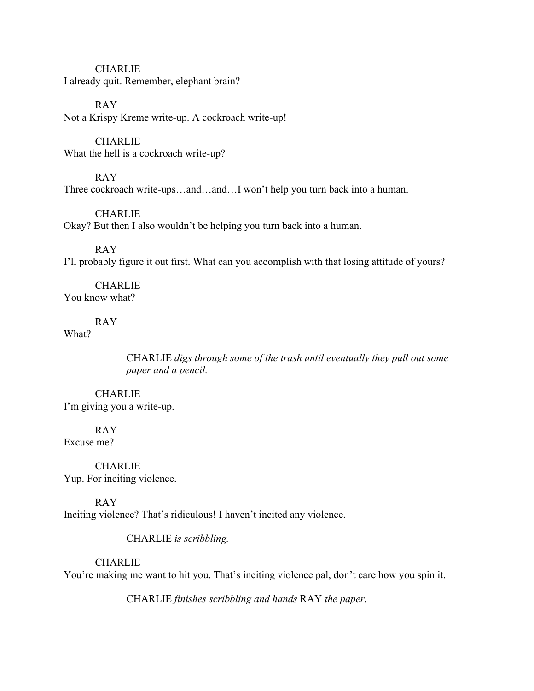**CHARLIE** I already quit. Remember, elephant brain?

RAY Not a Krispy Kreme write-up. A cockroach write-up!

**CHARLIE** What the hell is a cockroach write-up?

RAY Three cockroach write-ups…and…and…I won't help you turn back into a human.

CHARLIE Okay? But then I also wouldn't be helping you turn back into a human.

RAY I'll probably figure it out first. What can you accomplish with that losing attitude of yours?

**CHARLIE** You know what?

#### RAY

What?

CHARLIE *digs through some of the trash until eventually they pull out some paper and a pencil.*

CHARLIE I'm giving you a write-up.

RAY Excuse me?

**CHARLIE** Yup. For inciting violence.

RAY Inciting violence? That's ridiculous! I haven't incited any violence.

CHARLIE *is scribbling.*

**CHARLIE** 

You're making me want to hit you. That's inciting violence pal, don't care how you spin it.

CHARLIE *finishes scribbling and hands* RAY *the paper.*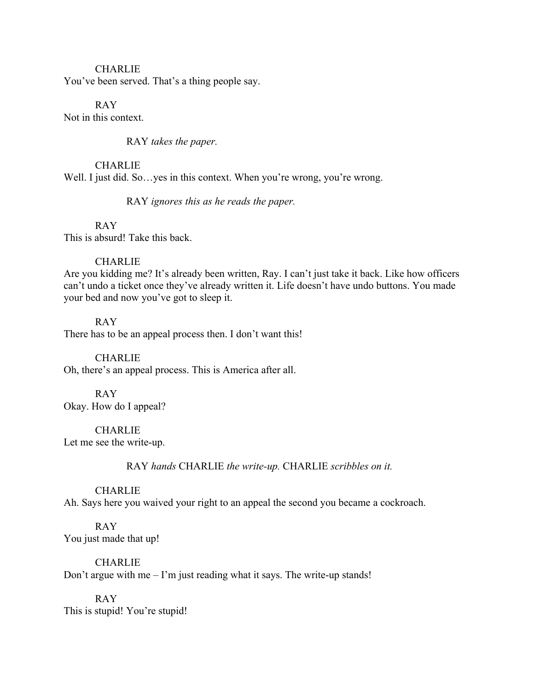#### **CHARLIE**

You've been served. That's a thing people say.

RAY Not in this context.

RAY *takes the paper.*

**CHARLIE** Well. I just did. So... yes in this context. When you're wrong, you're wrong.

RAY *ignores this as he reads the paper.*

RAY This is absurd! Take this back.

#### **CHARLIE**

Are you kidding me? It's already been written, Ray. I can't just take it back. Like how officers can't undo a ticket once they've already written it. Life doesn't have undo buttons. You made your bed and now you've got to sleep it.

RAY

There has to be an appeal process then. I don't want this!

**CHARLIE** 

Oh, there's an appeal process. This is America after all.

#### RAY

Okay. How do I appeal?

**CHARLIE** Let me see the write-up.

RAY *hands* CHARLIE *the write-up.* CHARLIE *scribbles on it.*

#### CHARLIE

Ah. Says here you waived your right to an appeal the second you became a cockroach.

RAY You just made that up!

**CHARLIE** 

Don't argue with me – I'm just reading what it says. The write-up stands!

RAY This is stupid! You're stupid!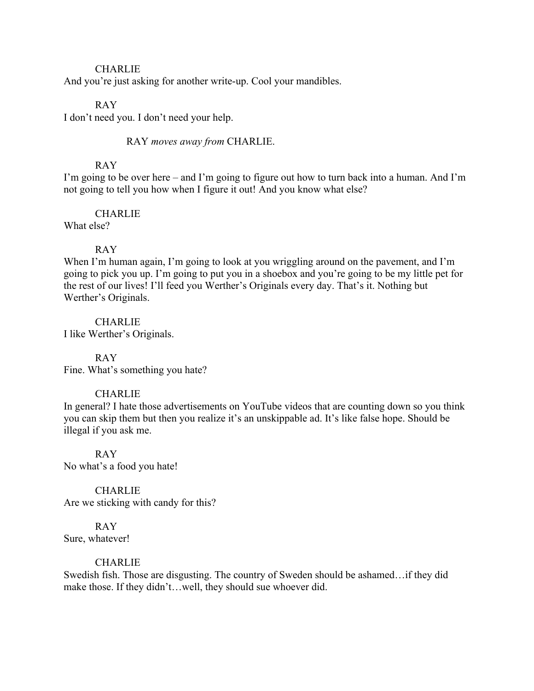#### **CHARLIE**

And you're just asking for another write-up. Cool your mandibles.

#### RAY

I don't need you. I don't need your help.

RAY *moves away from* CHARLIE.

#### RAY

I'm going to be over here – and I'm going to figure out how to turn back into a human. And I'm not going to tell you how when I figure it out! And you know what else?

**CHARLIE** 

What else?

#### RAY

When I'm human again, I'm going to look at you wriggling around on the pavement, and I'm going to pick you up. I'm going to put you in a shoebox and you're going to be my little pet for the rest of our lives! I'll feed you Werther's Originals every day. That's it. Nothing but Werther's Originals.

CHARLIE

I like Werther's Originals.

#### RAY

Fine. What's something you hate?

#### CHARLIE

In general? I hate those advertisements on YouTube videos that are counting down so you think you can skip them but then you realize it's an unskippable ad. It's like false hope. Should be illegal if you ask me.

RAY No what's a food you hate!

**CHARLIE** Are we sticking with candy for this?

RAY Sure, whatever!

#### **CHARLIE**

Swedish fish. Those are disgusting. The country of Sweden should be ashamed…if they did make those. If they didn't…well, they should sue whoever did.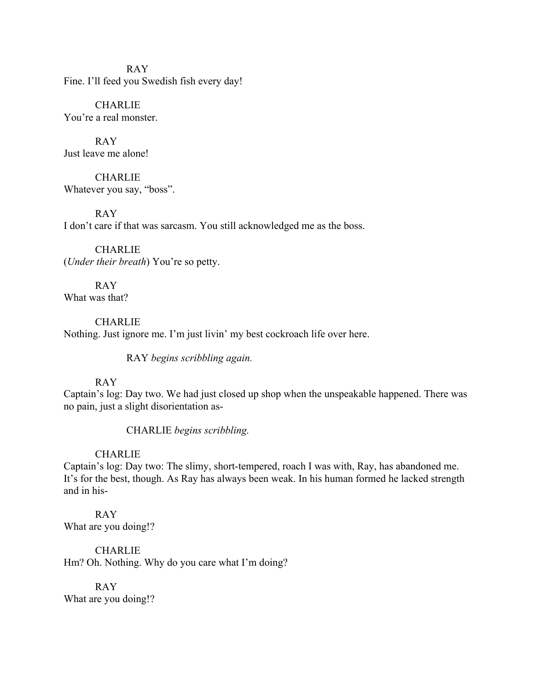RAY Fine. I'll feed you Swedish fish every day!

**CHARLIE** You're a real monster.

RAY Just leave me alone!

**CHARLIE** Whatever you say, "boss".

RAY I don't care if that was sarcasm. You still acknowledged me as the boss.

CHARLIE (*Under their breath*) You're so petty.

RAY What was that?

**CHARLIE** Nothing. Just ignore me. I'm just livin' my best cockroach life over here.

RAY *begins scribbling again.*

#### RAY

Captain's log: Day two. We had just closed up shop when the unspeakable happened. There was no pain, just a slight disorientation as-

CHARLIE *begins scribbling.*

#### **CHARLIE**

Captain's log: Day two: The slimy, short-tempered, roach I was with, Ray, has abandoned me. It's for the best, though. As Ray has always been weak. In his human formed he lacked strength and in his-

RAY What are you doing!?

**CHARLIE** Hm? Oh. Nothing. Why do you care what I'm doing?

RAY What are you doing!?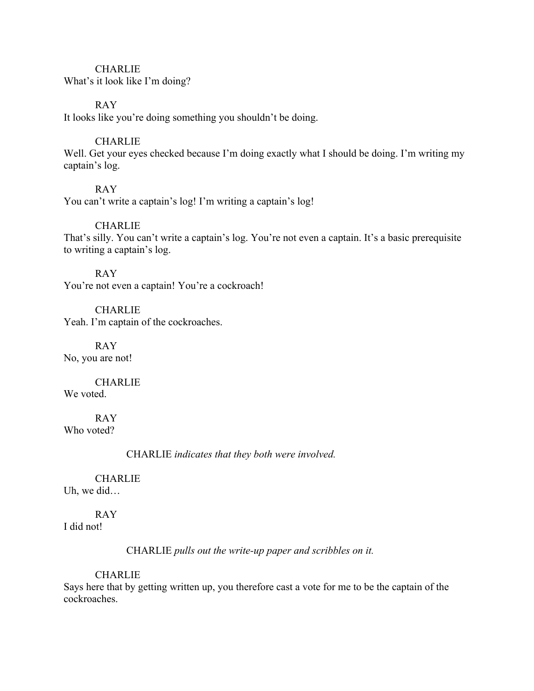#### **CHARLIE**

What's it look like I'm doing?

#### RAY

It looks like you're doing something you shouldn't be doing.

#### **CHARLIE**

Well. Get your eyes checked because I'm doing exactly what I should be doing. I'm writing my captain's log.

#### RAY

You can't write a captain's log! I'm writing a captain's log!

#### **CHARLIE**

That's silly. You can't write a captain's log. You're not even a captain. It's a basic prerequisite to writing a captain's log.

#### RAY

You're not even a captain! You're a cockroach!

**CHARLIE** Yeah. I'm captain of the cockroaches.

RAY No, you are not!

### **CHARLIE**

We voted.

RAY Who voted?

CHARLIE *indicates that they both were involved.*

## **CHARLIE**

Uh, we did…

#### RAY

I did not!

CHARLIE *pulls out the write-up paper and scribbles on it.*

#### CHARLIE

Says here that by getting written up, you therefore cast a vote for me to be the captain of the cockroaches.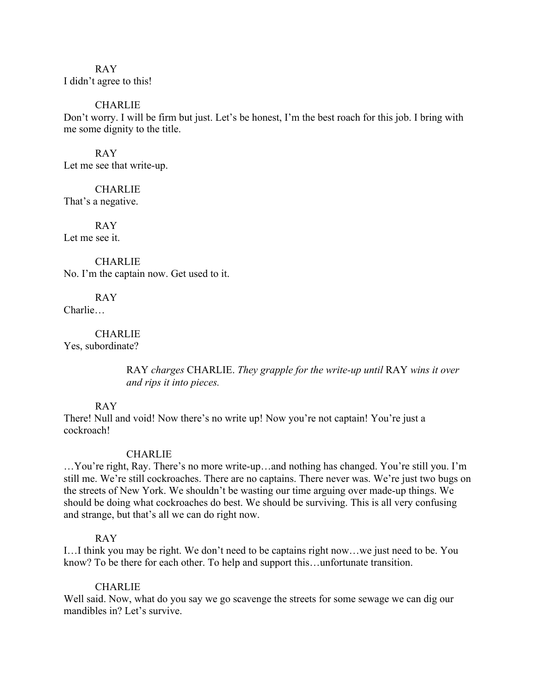RAY I didn't agree to this!

CHARLIE

Don't worry. I will be firm but just. Let's be honest, I'm the best roach for this job. I bring with me some dignity to the title.

RAY Let me see that write-up.

**CHARLIE** That's a negative.

RAY Let me see it.

**CHARLIE** No. I'm the captain now. Get used to it.

RAY Charlie…

**CHARLIE** Yes, subordinate?

> RAY *charges* CHARLIE. *They grapple for the write-up until* RAY *wins it over and rips it into pieces.*

#### RAY

There! Null and void! Now there's no write up! Now you're not captain! You're just a cockroach!

#### **CHARLIE**

…You're right, Ray. There's no more write-up…and nothing has changed. You're still you. I'm still me. We're still cockroaches. There are no captains. There never was. We're just two bugs on the streets of New York. We shouldn't be wasting our time arguing over made-up things. We should be doing what cockroaches do best. We should be surviving. This is all very confusing and strange, but that's all we can do right now.

#### RAY

I…I think you may be right. We don't need to be captains right now…we just need to be. You know? To be there for each other. To help and support this…unfortunate transition.

#### **CHARLIE**

Well said. Now, what do you say we go scavenge the streets for some sewage we can dig our mandibles in? Let's survive.